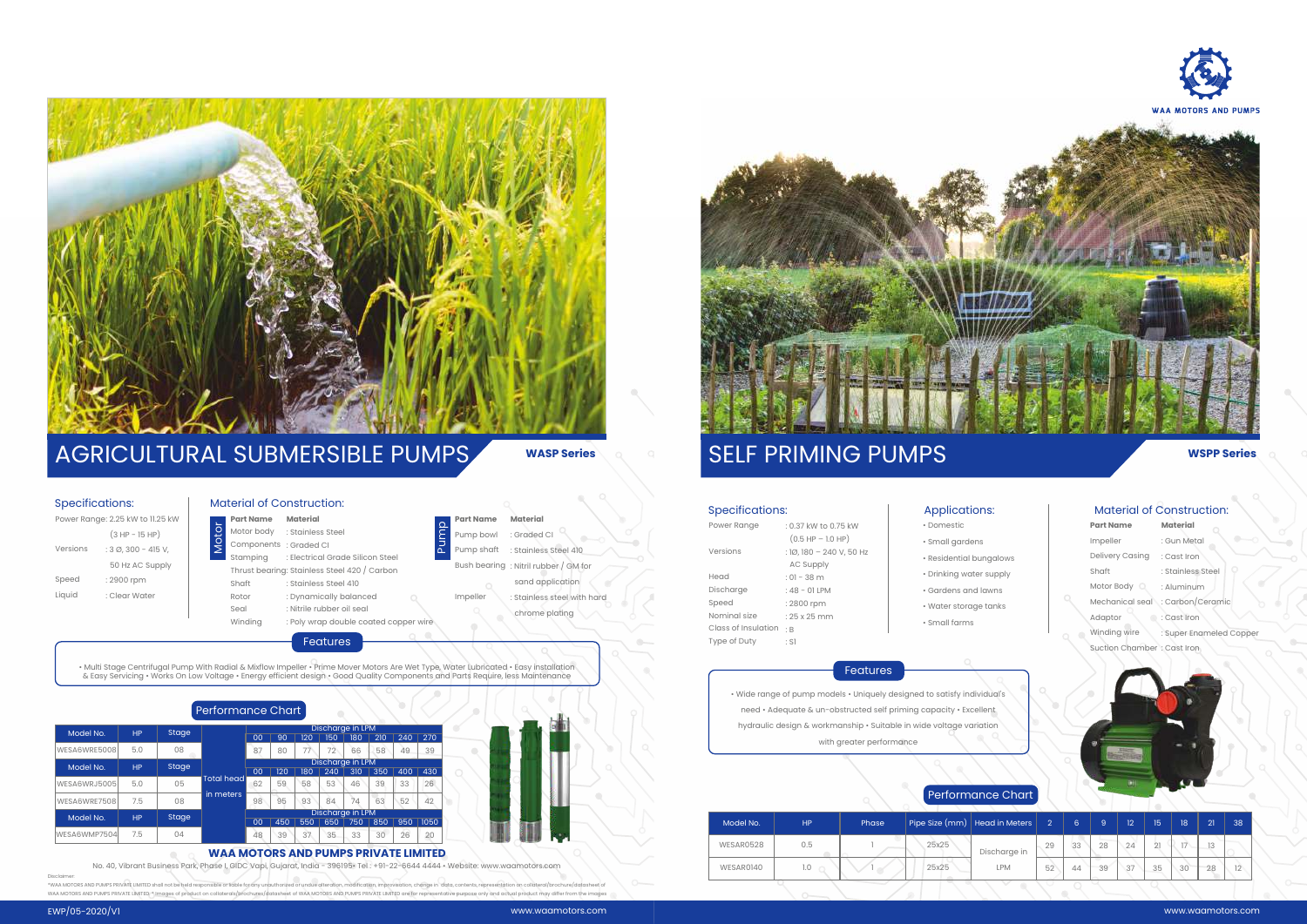• Wide range of pump models • Uniquely designed to satisfy individual's need • Adequate & un-obstructed self priming capacity • Excellent hydraulic design & workmanship • Suitable in wide voltage variation with greater performance

## Features

| Power Range         | : 0.37 kW to 0.75 kW     |  |  |  |  |  |
|---------------------|--------------------------|--|--|--|--|--|
|                     | $(0.5$ HP $-$ 1.0 HP)    |  |  |  |  |  |
| Versions            | : 1Ø, 180 - 240 V, 50 Hz |  |  |  |  |  |
|                     | <b>AC Supply</b>         |  |  |  |  |  |
| Head                | $: 01 - 38$ m            |  |  |  |  |  |
| Discharge           | $:48 - 01$ LPM           |  |  |  |  |  |
| Speed               | : 2800 rpm               |  |  |  |  |  |
| Nominal size        | $: 25x25$ mm             |  |  |  |  |  |
| Class of Insulation | $\therefore$ B           |  |  |  |  |  |
| Type of Duty        | : SI                     |  |  |  |  |  |

#### Specifications:

## **WSPP Series**

- 
- 
- 
- Domestic • Small gardens
- Residential bungalows
- Drinking water supply
- Gardens and lawns
- Water storage tanks
	- Small farms

## Applications:

# SELF PRIMING PUMPS

| <b>Part Name</b> |
|------------------|
| Impeller         |
| Delivery Casing  |
| Shaft            |
| Motor Body       |
| Mechanical seal  |
| Adaptor          |
| Winding wire     |

#### Material of Construction:

### **Material** : Gun Metal : Cast Iron

## Motor body : Std Components : Grand<br>
Stamping : Ele<br>
Thrust bearing: Std Shaft : Std Rotor : Dyi<br>
Seal : Nit<br>
Winding : Pol<br>
With Radial & Mixflow Impelle<br>
Performance Chart **Part Name** Motor body **Components** Stamping Thrust bearing : Stainless Steel 420 / Carbon Shaft Rotor **Material** : Stainless Steel : Graded CI : Electrical Grade Silicon Steel : Stainless Steel 410

- Suction Chamber : Cast Iron
- 

- : Stainless Steel
- : Aluminum
- : Carbon/Ceramic
- : Cast Iron

#### : Super Enameled Copper

# Performance Chart

| Model No. | HP  | Phase |       | Pipe Size (mm) Head in Meters | $\overline{2}$ | 6  | 9  | 12 | 15 | 18   | 21 | 38 |
|-----------|-----|-------|-------|-------------------------------|----------------|----|----|----|----|------|----|----|
| WESAR0528 | 0.5 |       | 25x25 | Discharge in                  | 29             | 33 | 28 | 24 | 21 | $-1$ | 13 |    |
| WESAR0140 | 1.0 |       | 25x25 | <b>LPM</b>                    | 52             | 44 | 39 | 37 | 35 | 30   | 28 |    |
|           |     |       |       |                               |                |    |    |    |    |      |    |    |

| Power Range: 2.25 kW to 11.25 kW |                                |  |  |  |  |  |  |
|----------------------------------|--------------------------------|--|--|--|--|--|--|
|                                  | $(3 HP - 15 HP)$               |  |  |  |  |  |  |
| Versions                         | $: 3 \emptyset$ , 300 - 415 V, |  |  |  |  |  |  |
|                                  | 50 Hz AC Supply                |  |  |  |  |  |  |
| Speed                            | : 2900 rpm                     |  |  |  |  |  |  |
| Liquid                           | : Clear Water                  |  |  |  |  |  |  |
|                                  |                                |  |  |  |  |  |  |

#### Specifications:



# AGRICULTURAL SUBMERSIBLE PUMPS **WASP Series**

Seal Winding

Material of Construction:

: Dynamically balanced : Nitrile rubber oil seal : Poly wrap double coated copper wire

• Multi Stage Centrifugal Pump With Radial & Mixflow Impeller • Prime Mover Motors Are Wet Type, Water Lubricated • Easy installation & Easy Servicing • Works On Low Voltage • Energy efficient design • Good Quality Components and Parts Require, less Maintenance

Features

Impeller : Stainless steel with hard chrome plating

| Model No.    | HP        |              | Discharge in LPM  |                  |     |     |                  |     |     |     |      |
|--------------|-----------|--------------|-------------------|------------------|-----|-----|------------------|-----|-----|-----|------|
|              |           | <b>Stage</b> |                   | 00               | 90  | 120 | 150              | 180 | 210 | 240 | 270  |
| WESA6WRE5008 | 5.0       | 08           |                   | 87               | 80  | 77  | 72 <sub>2</sub>  | 66  | 58  | 49  | 39   |
|              |           |              |                   | Discharge in LPM |     |     |                  |     |     |     |      |
| Model No.    | <b>HP</b> | <b>Stage</b> |                   | 00               | 120 | 180 | 240              | 310 | 350 | 400 | 430  |
| WESA6WRJ5005 | 5.0       | 05           | <b>Total head</b> | 62               | 59  | 58  | 53               | 46  | 39  | 33  | 26   |
| WESA6WRE7508 | 7.5       | 08           | in meters         | 98               | 95  | 93  | 84               | 74  | 63  | 52  | 42   |
| Model No.    |           | <b>Stage</b> |                   |                  |     |     | Discharge in LPM |     |     |     |      |
|              | <b>HP</b> |              |                   | 00               | 450 | 550 | 650              | 750 | 850 | 950 | 1050 |
| WESA6WMP7504 | 7.5       | 04           |                   | 48               | 39  | 37  | 35               | 33  | 30  | 26  | 20   |

**Part Name** mp bowl np shaft Bush bearing **Material** : Graded CI : Stainless Steel 410 : Nitril rubber / GM for sand application Pump

#### **WAA MOTORS AND PUMPS PRIVATE LIMITED**

No. 40, Vibrant Business Park, Phase I, GIDC Vapi, Gujarat, India - 396195• Tel : +91-22-6644 4444 • Website: www.waamotors.com Disclaimer:

\*WAA MOTORS AND PUMPS PRIVATE LIMITED WAA MOTORS AND PUMPS PRIVATE LIMITED. \* Images of product on collaterals/brochures/datasheet of WAA MOTORS AND PUMPS PRIVATE LIMITED are for representative purpose only and actual product may differ from the in